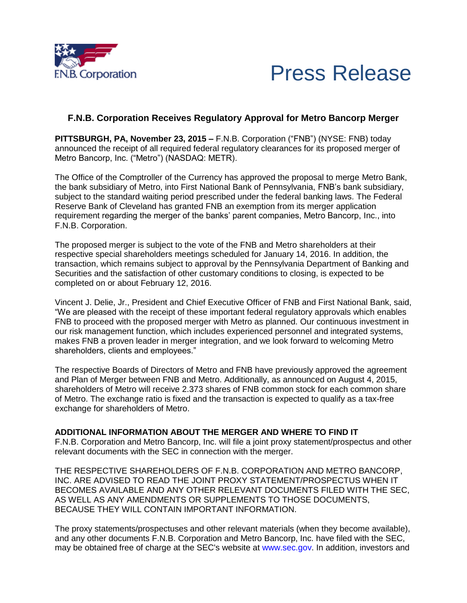



## **F.N.B. Corporation Receives Regulatory Approval for Metro Bancorp Merger**

**PITTSBURGH, PA, November 23, 2015 –** F.N.B. Corporation ("FNB") (NYSE: FNB) today announced the receipt of all required federal regulatory clearances for its proposed merger of Metro Bancorp, Inc. ("Metro") (NASDAQ: METR).

The Office of the Comptroller of the Currency has approved the proposal to merge Metro Bank, the bank subsidiary of Metro, into First National Bank of Pennsylvania, FNB's bank subsidiary, subject to the standard waiting period prescribed under the federal banking laws. The Federal Reserve Bank of Cleveland has granted FNB an exemption from its merger application requirement regarding the merger of the banks' parent companies, Metro Bancorp, Inc., into F.N.B. Corporation.

The proposed merger is subject to the vote of the FNB and Metro shareholders at their respective special shareholders meetings scheduled for January 14, 2016. In addition, the transaction, which remains subject to approval by the Pennsylvania Department of Banking and Securities and the satisfaction of other customary conditions to closing, is expected to be completed on or about February 12, 2016.

Vincent J. Delie, Jr., President and Chief Executive Officer of FNB and First National Bank, said, "We are pleased with the receipt of these important federal regulatory approvals which enables FNB to proceed with the proposed merger with Metro as planned. Our continuous investment in our risk management function, which includes experienced personnel and integrated systems, makes FNB a proven leader in merger integration, and we look forward to welcoming Metro shareholders, clients and employees."

The respective Boards of Directors of Metro and FNB have previously approved the agreement and Plan of Merger between FNB and Metro. Additionally, as announced on August 4, 2015, shareholders of Metro will receive 2.373 shares of FNB common stock for each common share of Metro. The exchange ratio is fixed and the transaction is expected to qualify as a tax-free exchange for shareholders of Metro.

## **ADDITIONAL INFORMATION ABOUT THE MERGER AND WHERE TO FIND IT**

F.N.B. Corporation and Metro Bancorp, Inc. will file a joint proxy statement/prospectus and other relevant documents with the SEC in connection with the merger.

THE RESPECTIVE SHAREHOLDERS OF F.N.B. CORPORATION AND METRO BANCORP, INC. ARE ADVISED TO READ THE JOINT PROXY STATEMENT/PROSPECTUS WHEN IT BECOMES AVAILABLE AND ANY OTHER RELEVANT DOCUMENTS FILED WITH THE SEC, AS WELL AS ANY AMENDMENTS OR SUPPLEMENTS TO THOSE DOCUMENTS, BECAUSE THEY WILL CONTAIN IMPORTANT INFORMATION.

The proxy statements/prospectuses and other relevant materials (when they become available), and any other documents F.N.B. Corporation and Metro Bancorp, Inc. have filed with the SEC, may be obtained free of charge at the SEC's website at www.sec.gov. In addition, investors and